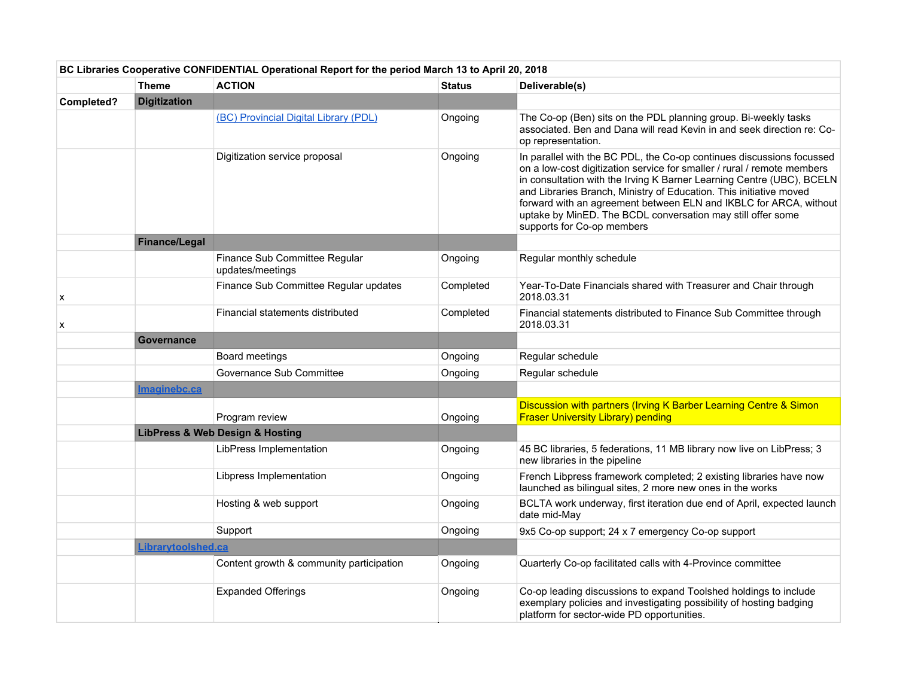|                           | BC Libraries Cooperative CONFIDENTIAL Operational Report for the period March 13 to April 20, 2018 |                                                   |               |                                                                                                                                                                                                                                                                                                                                                                                                                                                                   |  |  |
|---------------------------|----------------------------------------------------------------------------------------------------|---------------------------------------------------|---------------|-------------------------------------------------------------------------------------------------------------------------------------------------------------------------------------------------------------------------------------------------------------------------------------------------------------------------------------------------------------------------------------------------------------------------------------------------------------------|--|--|
|                           | <b>Theme</b>                                                                                       | <b>ACTION</b>                                     | <b>Status</b> | Deliverable(s)                                                                                                                                                                                                                                                                                                                                                                                                                                                    |  |  |
| Completed?                | <b>Digitization</b>                                                                                |                                                   |               |                                                                                                                                                                                                                                                                                                                                                                                                                                                                   |  |  |
|                           |                                                                                                    | (BC) Provincial Digital Library (PDL)             | Ongoing       | The Co-op (Ben) sits on the PDL planning group. Bi-weekly tasks<br>associated. Ben and Dana will read Kevin in and seek direction re: Co-<br>op representation.                                                                                                                                                                                                                                                                                                   |  |  |
|                           |                                                                                                    | Digitization service proposal                     | Ongoing       | In parallel with the BC PDL, the Co-op continues discussions focussed<br>on a low-cost digitization service for smaller / rural / remote members<br>in consultation with the Irving K Barner Learning Centre (UBC), BCELN<br>and Libraries Branch, Ministry of Education. This initiative moved<br>forward with an agreement between ELN and IKBLC for ARCA, without<br>uptake by MinED. The BCDL conversation may still offer some<br>supports for Co-op members |  |  |
|                           | Finance/Legal                                                                                      |                                                   |               |                                                                                                                                                                                                                                                                                                                                                                                                                                                                   |  |  |
|                           |                                                                                                    | Finance Sub Committee Regular<br>updates/meetings | Ongoing       | Regular monthly schedule                                                                                                                                                                                                                                                                                                                                                                                                                                          |  |  |
| $\boldsymbol{\mathsf{x}}$ |                                                                                                    | Finance Sub Committee Regular updates             | Completed     | Year-To-Date Financials shared with Treasurer and Chair through<br>2018.03.31                                                                                                                                                                                                                                                                                                                                                                                     |  |  |
| x                         |                                                                                                    | Financial statements distributed                  | Completed     | Financial statements distributed to Finance Sub Committee through<br>2018.03.31                                                                                                                                                                                                                                                                                                                                                                                   |  |  |
|                           | Governance                                                                                         |                                                   |               |                                                                                                                                                                                                                                                                                                                                                                                                                                                                   |  |  |
|                           |                                                                                                    | Board meetings                                    | Ongoing       | Regular schedule                                                                                                                                                                                                                                                                                                                                                                                                                                                  |  |  |
|                           |                                                                                                    | Governance Sub Committee                          | Ongoing       | Regular schedule                                                                                                                                                                                                                                                                                                                                                                                                                                                  |  |  |
|                           | Imaginebc.ca                                                                                       |                                                   |               |                                                                                                                                                                                                                                                                                                                                                                                                                                                                   |  |  |
|                           |                                                                                                    | Program review                                    | Ongoing       | Discussion with partners (Irving K Barber Learning Centre & Simon<br><b>Fraser University Library) pending</b>                                                                                                                                                                                                                                                                                                                                                    |  |  |
|                           |                                                                                                    | <b>LibPress &amp; Web Design &amp; Hosting</b>    |               |                                                                                                                                                                                                                                                                                                                                                                                                                                                                   |  |  |
|                           |                                                                                                    | LibPress Implementation                           | Ongoing       | 45 BC libraries, 5 federations, 11 MB library now live on LibPress; 3<br>new libraries in the pipeline                                                                                                                                                                                                                                                                                                                                                            |  |  |
|                           |                                                                                                    | Libpress Implementation                           | Ongoing       | French Libpress framework completed; 2 existing libraries have now<br>launched as bilingual sites, 2 more new ones in the works                                                                                                                                                                                                                                                                                                                                   |  |  |
|                           |                                                                                                    | Hosting & web support                             | Ongoing       | BCLTA work underway, first iteration due end of April, expected launch<br>date mid-May                                                                                                                                                                                                                                                                                                                                                                            |  |  |
|                           |                                                                                                    | Support                                           | Ongoing       | 9x5 Co-op support; 24 x 7 emergency Co-op support                                                                                                                                                                                                                                                                                                                                                                                                                 |  |  |
|                           | Librarytoolshed.ca                                                                                 |                                                   |               |                                                                                                                                                                                                                                                                                                                                                                                                                                                                   |  |  |
|                           |                                                                                                    | Content growth & community participation          | Ongoing       | Quarterly Co-op facilitated calls with 4-Province committee                                                                                                                                                                                                                                                                                                                                                                                                       |  |  |
|                           |                                                                                                    | <b>Expanded Offerings</b>                         | Ongoing       | Co-op leading discussions to expand Toolshed holdings to include<br>exemplary policies and investigating possibility of hosting badging<br>platform for sector-wide PD opportunities.                                                                                                                                                                                                                                                                             |  |  |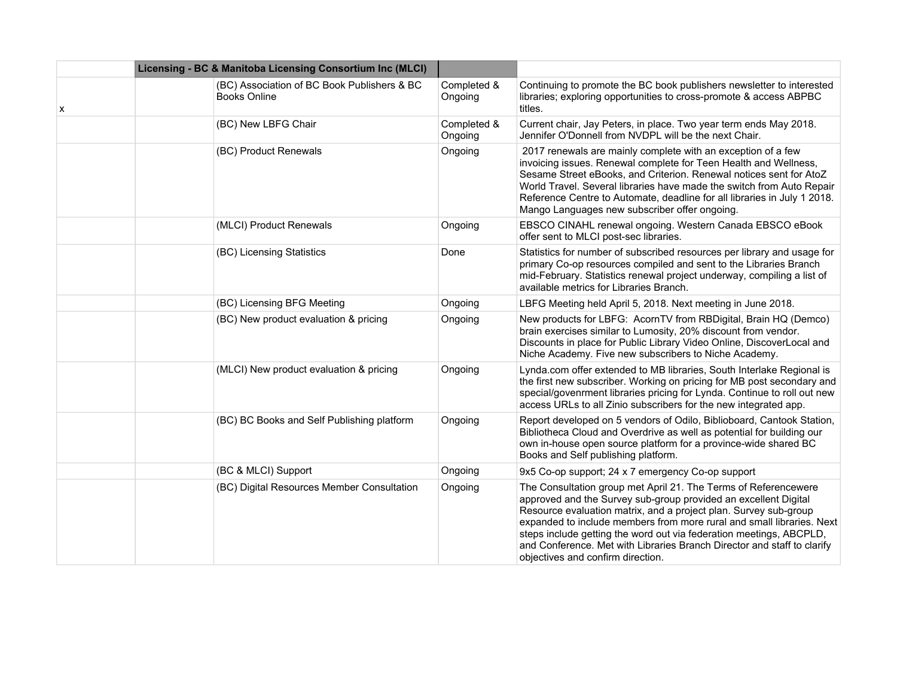|   | Licensing - BC & Manitoba Licensing Consortium Inc (MLCI)          |                        |                                                                                                                                                                                                                                                                                                                                                                                                                                                                        |
|---|--------------------------------------------------------------------|------------------------|------------------------------------------------------------------------------------------------------------------------------------------------------------------------------------------------------------------------------------------------------------------------------------------------------------------------------------------------------------------------------------------------------------------------------------------------------------------------|
| X | (BC) Association of BC Book Publishers & BC<br><b>Books Online</b> | Completed &<br>Ongoing | Continuing to promote the BC book publishers newsletter to interested<br>libraries; exploring opportunities to cross-promote & access ABPBC<br>titles.                                                                                                                                                                                                                                                                                                                 |
|   | (BC) New LBFG Chair                                                | Completed &<br>Ongoing | Current chair, Jay Peters, in place. Two year term ends May 2018.<br>Jennifer O'Donnell from NVDPL will be the next Chair.                                                                                                                                                                                                                                                                                                                                             |
|   | (BC) Product Renewals                                              | Ongoing                | 2017 renewals are mainly complete with an exception of a few<br>invoicing issues. Renewal complete for Teen Health and Wellness,<br>Sesame Street eBooks, and Criterion. Renewal notices sent for AtoZ<br>World Travel. Several libraries have made the switch from Auto Repair<br>Reference Centre to Automate, deadline for all libraries in July 1 2018.<br>Mango Languages new subscriber offer ongoing.                                                           |
|   | (MLCI) Product Renewals                                            | Ongoing                | EBSCO CINAHL renewal ongoing. Western Canada EBSCO eBook<br>offer sent to MLCI post-sec libraries.                                                                                                                                                                                                                                                                                                                                                                     |
|   | (BC) Licensing Statistics                                          | Done                   | Statistics for number of subscribed resources per library and usage for<br>primary Co-op resources compiled and sent to the Libraries Branch<br>mid-February. Statistics renewal project underway, compiling a list of<br>available metrics for Libraries Branch.                                                                                                                                                                                                      |
|   | (BC) Licensing BFG Meeting                                         | Ongoing                | LBFG Meeting held April 5, 2018. Next meeting in June 2018.                                                                                                                                                                                                                                                                                                                                                                                                            |
|   | (BC) New product evaluation & pricing                              | Ongoing                | New products for LBFG: AcornTV from RBDigital, Brain HQ (Demco)<br>brain exercises similar to Lumosity, 20% discount from vendor.<br>Discounts in place for Public Library Video Online, DiscoverLocal and<br>Niche Academy. Five new subscribers to Niche Academy.                                                                                                                                                                                                    |
|   | (MLCI) New product evaluation & pricing                            | Ongoing                | Lynda.com offer extended to MB libraries, South Interlake Regional is<br>the first new subscriber. Working on pricing for MB post secondary and<br>special/govenrment libraries pricing for Lynda. Continue to roll out new<br>access URLs to all Zinio subscribers for the new integrated app.                                                                                                                                                                        |
|   | (BC) BC Books and Self Publishing platform                         | Ongoing                | Report developed on 5 vendors of Odilo, Biblioboard, Cantook Station,<br>Bibliotheca Cloud and Overdrive as well as potential for building our<br>own in-house open source platform for a province-wide shared BC<br>Books and Self publishing platform.                                                                                                                                                                                                               |
|   | (BC & MLCI) Support                                                | Ongoing                | 9x5 Co-op support; 24 x 7 emergency Co-op support                                                                                                                                                                                                                                                                                                                                                                                                                      |
|   | (BC) Digital Resources Member Consultation                         | Ongoing                | The Consultation group met April 21. The Terms of Referencewere<br>approved and the Survey sub-group provided an excellent Digital<br>Resource evaluation matrix, and a project plan. Survey sub-group<br>expanded to include members from more rural and small libraries. Next<br>steps include getting the word out via federation meetings, ABCPLD,<br>and Conference. Met with Libraries Branch Director and staff to clarify<br>objectives and confirm direction. |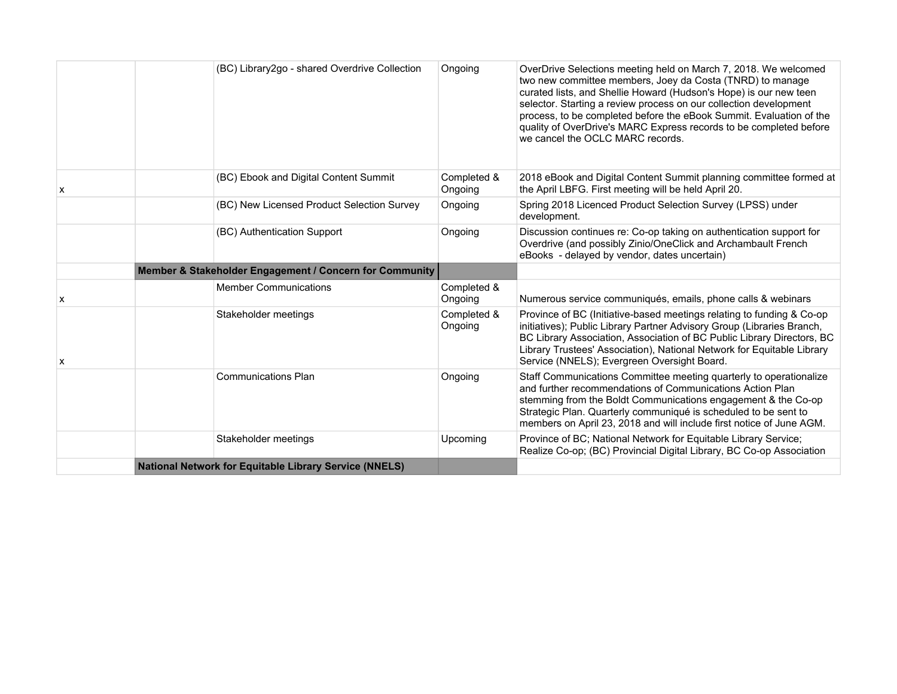|   | (BC) Library2go - shared Overdrive Collection           | Ongoing                | OverDrive Selections meeting held on March 7, 2018. We welcomed<br>two new committee members, Joey da Costa (TNRD) to manage<br>curated lists, and Shellie Howard (Hudson's Hope) is our new teen<br>selector. Starting a review process on our collection development<br>process, to be completed before the eBook Summit. Evaluation of the<br>quality of OverDrive's MARC Express records to be completed before<br>we cancel the OCLC MARC records. |
|---|---------------------------------------------------------|------------------------|---------------------------------------------------------------------------------------------------------------------------------------------------------------------------------------------------------------------------------------------------------------------------------------------------------------------------------------------------------------------------------------------------------------------------------------------------------|
| x | (BC) Ebook and Digital Content Summit                   | Completed &<br>Ongoing | 2018 eBook and Digital Content Summit planning committee formed at<br>the April LBFG. First meeting will be held April 20.                                                                                                                                                                                                                                                                                                                              |
|   | (BC) New Licensed Product Selection Survey              | Ongoing                | Spring 2018 Licenced Product Selection Survey (LPSS) under<br>development.                                                                                                                                                                                                                                                                                                                                                                              |
|   | (BC) Authentication Support                             | Ongoing                | Discussion continues re: Co-op taking on authentication support for<br>Overdrive (and possibly Zinio/OneClick and Archambault French<br>eBooks - delayed by vendor, dates uncertain)                                                                                                                                                                                                                                                                    |
|   | Member & Stakeholder Engagement / Concern for Community |                        |                                                                                                                                                                                                                                                                                                                                                                                                                                                         |
| X | <b>Member Communications</b>                            | Completed &<br>Ongoing | Numerous service communiqués, emails, phone calls & webinars                                                                                                                                                                                                                                                                                                                                                                                            |
|   | Stakeholder meetings                                    | Completed &            | Province of BC (Initiative-based meetings relating to funding & Co-op                                                                                                                                                                                                                                                                                                                                                                                   |
| х |                                                         | Ongoing                | initiatives); Public Library Partner Advisory Group (Libraries Branch,<br>BC Library Association, Association of BC Public Library Directors, BC<br>Library Trustees' Association), National Network for Equitable Library<br>Service (NNELS); Evergreen Oversight Board.                                                                                                                                                                               |
|   | <b>Communications Plan</b>                              | Ongoing                | Staff Communications Committee meeting quarterly to operationalize<br>and further recommendations of Communications Action Plan<br>stemming from the Boldt Communications engagement & the Co-op<br>Strategic Plan. Quarterly communiqué is scheduled to be sent to<br>members on April 23, 2018 and will include first notice of June AGM.                                                                                                             |
|   | Stakeholder meetings                                    | Upcoming               | Province of BC; National Network for Equitable Library Service;<br>Realize Co-op; (BC) Provincial Digital Library, BC Co-op Association                                                                                                                                                                                                                                                                                                                 |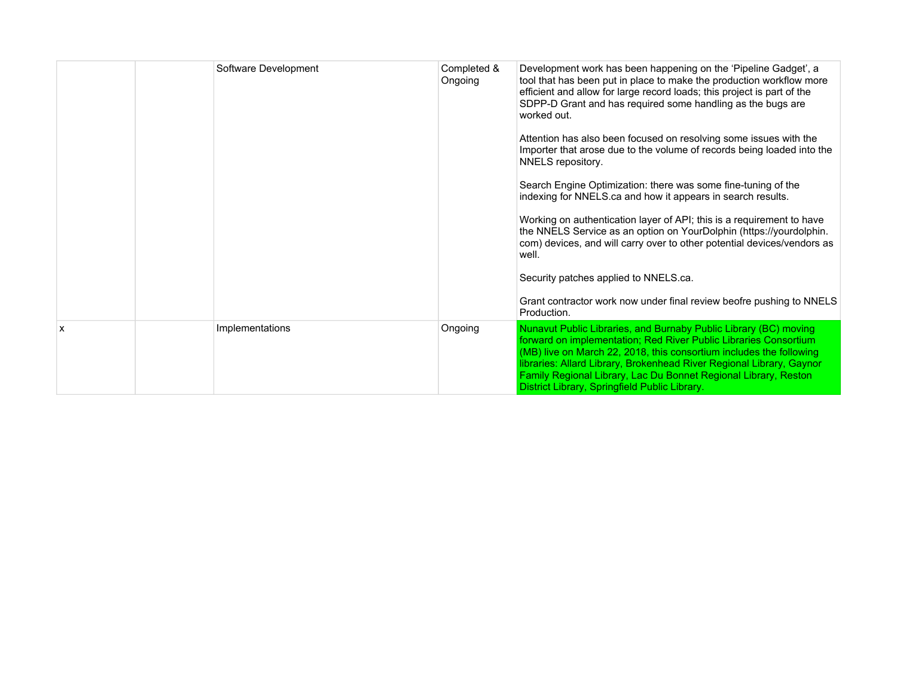|   | Software Development | Completed &<br>Ongoing | Development work has been happening on the 'Pipeline Gadget', a<br>tool that has been put in place to make the production workflow more<br>efficient and allow for large record loads; this project is part of the<br>SDPP-D Grant and has required some handling as the bugs are<br>worked out.<br>Attention has also been focused on resolving some issues with the<br>Importer that arose due to the volume of records being loaded into the<br>NNELS repository.<br>Search Engine Optimization: there was some fine-tuning of the<br>indexing for NNELS.ca and how it appears in search results.<br>Working on authentication layer of API; this is a requirement to have<br>the NNELS Service as an option on YourDolphin (https://yourdolphin.<br>com) devices, and will carry over to other potential devices/vendors as<br>well.<br>Security patches applied to NNELS.ca.<br>Grant contractor work now under final review beofre pushing to NNELS<br>Production. |
|---|----------------------|------------------------|--------------------------------------------------------------------------------------------------------------------------------------------------------------------------------------------------------------------------------------------------------------------------------------------------------------------------------------------------------------------------------------------------------------------------------------------------------------------------------------------------------------------------------------------------------------------------------------------------------------------------------------------------------------------------------------------------------------------------------------------------------------------------------------------------------------------------------------------------------------------------------------------------------------------------------------------------------------------------|
| X | Implementations      | Ongoing                | Nunavut Public Libraries, and Burnaby Public Library (BC) moving<br>forward on implementation; Red River Public Libraries Consortium<br>(MB) live on March 22, 2018, this consortium includes the following<br>libraries: Allard Library, Brokenhead River Regional Library, Gaynor<br>Family Regional Library, Lac Du Bonnet Regional Library, Reston<br>District Library, Springfield Public Library.                                                                                                                                                                                                                                                                                                                                                                                                                                                                                                                                                                  |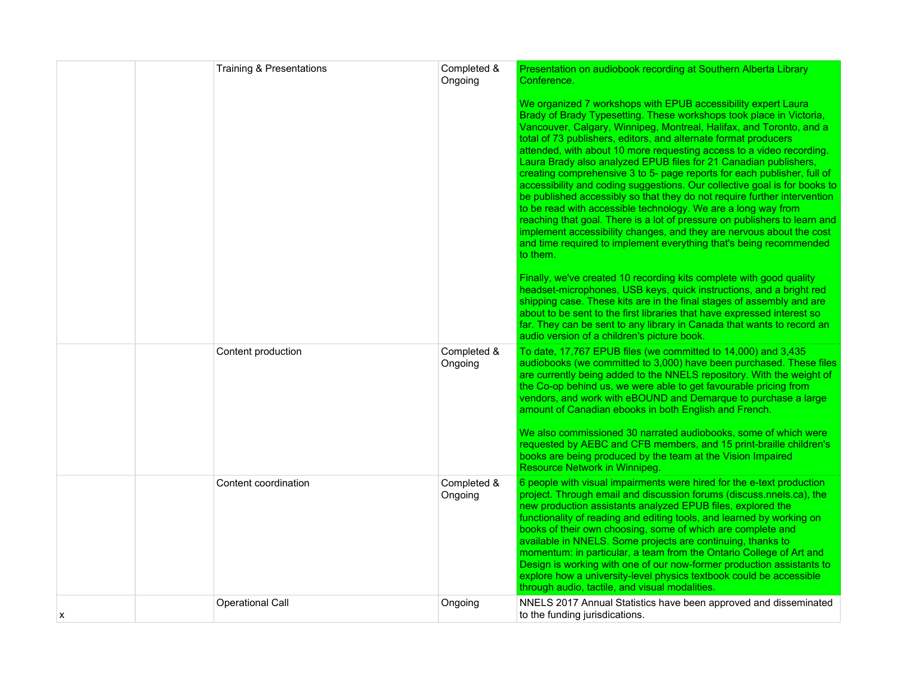|   | <b>Training &amp; Presentations</b> | Completed &<br>Ongoing | Presentation on audiobook recording at Southern Alberta Library<br>Conference.                                                                                                                                                                                                                                                                                                                                                                                                                                                                                                                                                                                                                                                                                                                                                                                                                                                                                         |
|---|-------------------------------------|------------------------|------------------------------------------------------------------------------------------------------------------------------------------------------------------------------------------------------------------------------------------------------------------------------------------------------------------------------------------------------------------------------------------------------------------------------------------------------------------------------------------------------------------------------------------------------------------------------------------------------------------------------------------------------------------------------------------------------------------------------------------------------------------------------------------------------------------------------------------------------------------------------------------------------------------------------------------------------------------------|
|   |                                     |                        | We organized 7 workshops with EPUB accessibility expert Laura<br>Brady of Brady Typesetting. These workshops took place in Victoria,<br>Vancouver, Calgary, Winnipeg, Montreal, Halifax, and Toronto, and a<br>total of 73 publishers, editors, and alternate format producers<br>attended, with about 10 more requesting access to a video recording.<br>Laura Brady also analyzed EPUB files for 21 Canadian publishers,<br>creating comprehensive 3 to 5- page reports for each publisher, full of<br>accessibility and coding suggestions. Our collective goal is for books to<br>be published accessibly so that they do not require further intervention<br>to be read with accessible technology. We are a long way from<br>reaching that goal. There is a lot of pressure on publishers to learn and<br>implement accessibility changes, and they are nervous about the cost<br>and time required to implement everything that's being recommended<br>to them. |
|   |                                     |                        | Finally, we've created 10 recording kits complete with good quality<br>headset-microphones, USB keys, quick instructions, and a bright red<br>shipping case. These kits are in the final stages of assembly and are<br>about to be sent to the first libraries that have expressed interest so<br>far. They can be sent to any library in Canada that wants to record an<br>audio version of a children's picture book.                                                                                                                                                                                                                                                                                                                                                                                                                                                                                                                                                |
|   | Content production                  | Completed &<br>Ongoing | To date, 17,767 EPUB files (we committed to 14,000) and 3,435<br>audiobooks (we committed to 3,000) have been purchased. These files<br>are currently being added to the NNELS repository. With the weight of<br>the Co-op behind us, we were able to get favourable pricing from<br>vendors, and work with eBOUND and Demarque to purchase a large<br>amount of Canadian ebooks in both English and French.<br>We also commissioned 30 narrated audiobooks, some of which were                                                                                                                                                                                                                                                                                                                                                                                                                                                                                        |
|   |                                     |                        | requested by AEBC and CFB members, and 15 print-braille children's<br>books are being produced by the team at the Vision Impaired<br>Resource Network in Winnipeg.                                                                                                                                                                                                                                                                                                                                                                                                                                                                                                                                                                                                                                                                                                                                                                                                     |
|   | Content coordination                | Completed &<br>Ongoing | 6 people with visual impairments were hired for the e-text production<br>project. Through email and discussion forums (discuss.nnels.ca), the<br>new production assistants analyzed EPUB files, explored the<br>functionality of reading and editing tools, and learned by working on<br>books of their own choosing, some of which are complete and<br>available in NNELS. Some projects are continuing, thanks to<br>momentum: in particular, a team from the Ontario College of Art and<br>Design is working with one of our now-former production assistants to<br>explore how a university-level physics textbook could be accessible<br>through audio, tactile, and visual modalities.                                                                                                                                                                                                                                                                           |
| х | Operational Call                    | Ongoing                | NNELS 2017 Annual Statistics have been approved and disseminated<br>to the funding jurisdications.                                                                                                                                                                                                                                                                                                                                                                                                                                                                                                                                                                                                                                                                                                                                                                                                                                                                     |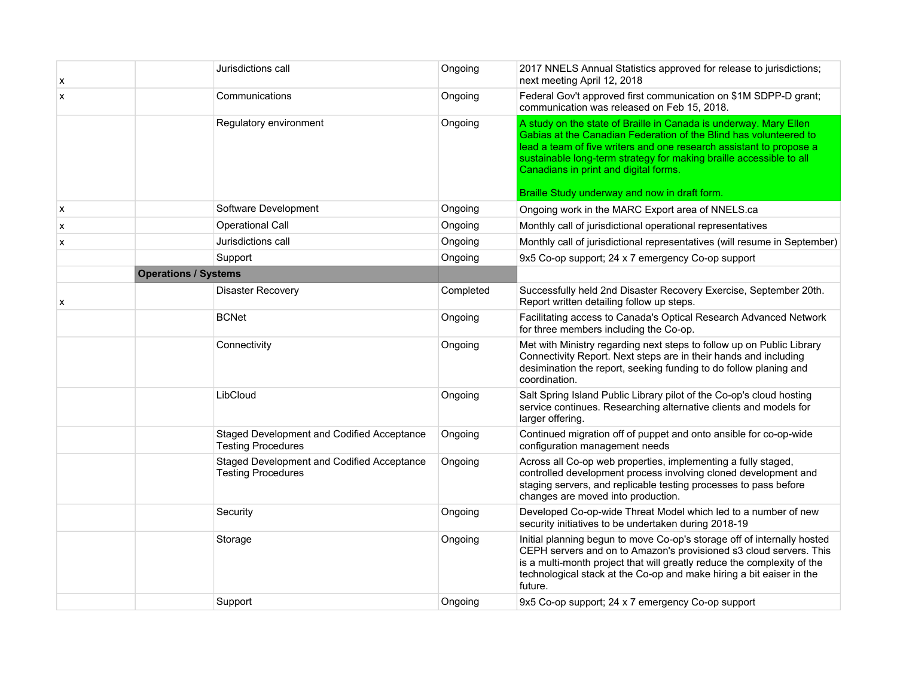| х | Jurisdictions call                                                      | Ongoing   | 2017 NNELS Annual Statistics approved for release to jurisdictions;<br>next meeting April 12, 2018                                                                                                                                                                                                                                                                             |
|---|-------------------------------------------------------------------------|-----------|--------------------------------------------------------------------------------------------------------------------------------------------------------------------------------------------------------------------------------------------------------------------------------------------------------------------------------------------------------------------------------|
| x | Communications                                                          | Ongoing   | Federal Gov't approved first communication on \$1M SDPP-D grant;<br>communication was released on Feb 15, 2018.                                                                                                                                                                                                                                                                |
|   | Regulatory environment                                                  | Ongoing   | A study on the state of Braille in Canada is underway. Mary Ellen<br>Gabias at the Canadian Federation of the Blind has volunteered to<br>lead a team of five writers and one research assistant to propose a<br>sustainable long-term strategy for making braille accessible to all<br>Canadians in print and digital forms.<br>Braille Study underway and now in draft form. |
| X | Software Development                                                    | Ongoing   | Ongoing work in the MARC Export area of NNELS.ca                                                                                                                                                                                                                                                                                                                               |
| x | Operational Call                                                        | Ongoing   | Monthly call of jurisdictional operational representatives                                                                                                                                                                                                                                                                                                                     |
| x | Jurisdictions call                                                      | Ongoing   | Monthly call of jurisdictional representatives (will resume in September)                                                                                                                                                                                                                                                                                                      |
|   | Support                                                                 | Ongoing   | 9x5 Co-op support; 24 x 7 emergency Co-op support                                                                                                                                                                                                                                                                                                                              |
|   | <b>Operations / Systems</b>                                             |           |                                                                                                                                                                                                                                                                                                                                                                                |
| X | <b>Disaster Recovery</b>                                                | Completed | Successfully held 2nd Disaster Recovery Exercise, September 20th.<br>Report written detailing follow up steps.                                                                                                                                                                                                                                                                 |
|   | <b>BCNet</b>                                                            | Ongoing   | Facilitating access to Canada's Optical Research Advanced Network<br>for three members including the Co-op.                                                                                                                                                                                                                                                                    |
|   | Connectivity                                                            | Ongoing   | Met with Ministry regarding next steps to follow up on Public Library<br>Connectivity Report. Next steps are in their hands and including<br>desimination the report, seeking funding to do follow planing and<br>coordination.                                                                                                                                                |
|   | LibCloud                                                                | Ongoing   | Salt Spring Island Public Library pilot of the Co-op's cloud hosting<br>service continues. Researching alternative clients and models for<br>larger offering.                                                                                                                                                                                                                  |
|   | Staged Development and Codified Acceptance<br><b>Testing Procedures</b> | Ongoing   | Continued migration off of puppet and onto ansible for co-op-wide<br>configuration management needs                                                                                                                                                                                                                                                                            |
|   | Staged Development and Codified Acceptance<br><b>Testing Procedures</b> | Ongoing   | Across all Co-op web properties, implementing a fully staged,<br>controlled development process involving cloned development and<br>staging servers, and replicable testing processes to pass before<br>changes are moved into production.                                                                                                                                     |
|   | Security                                                                | Ongoing   | Developed Co-op-wide Threat Model which led to a number of new<br>security initiatives to be undertaken during 2018-19                                                                                                                                                                                                                                                         |
|   | Storage                                                                 | Ongoing   | Initial planning begun to move Co-op's storage off of internally hosted<br>CEPH servers and on to Amazon's provisioned s3 cloud servers. This<br>is a multi-month project that will greatly reduce the complexity of the<br>technological stack at the Co-op and make hiring a bit eaiser in the<br>future.                                                                    |
|   | Support                                                                 | Ongoing   | 9x5 Co-op support; 24 x 7 emergency Co-op support                                                                                                                                                                                                                                                                                                                              |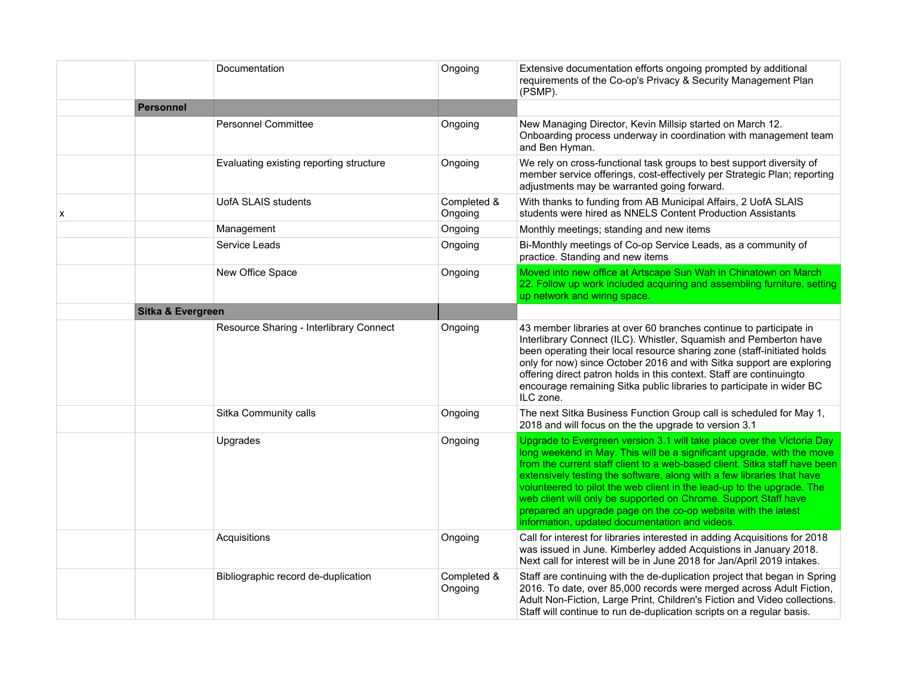|   |                   | Documentation                           | Ongoing                | Extensive documentation efforts ongoing prompted by additional<br>requirements of the Co-op's Privacy & Security Management Plan<br>(PSMP).                                                                                                                                                                                                                                                                                                                                                                                                                              |
|---|-------------------|-----------------------------------------|------------------------|--------------------------------------------------------------------------------------------------------------------------------------------------------------------------------------------------------------------------------------------------------------------------------------------------------------------------------------------------------------------------------------------------------------------------------------------------------------------------------------------------------------------------------------------------------------------------|
|   | Personnel         |                                         |                        |                                                                                                                                                                                                                                                                                                                                                                                                                                                                                                                                                                          |
|   |                   | <b>Personnel Committee</b>              | Ongoing                | New Managing Director, Kevin Millsip started on March 12.<br>Onboarding process underway in coordination with management team<br>and Ben Hyman.                                                                                                                                                                                                                                                                                                                                                                                                                          |
|   |                   | Evaluating existing reporting structure | Ongoing                | We rely on cross-functional task groups to best support diversity of<br>member service offerings, cost-effectively per Strategic Plan; reporting<br>adjustments may be warranted going forward.                                                                                                                                                                                                                                                                                                                                                                          |
| х |                   | UofA SLAIS students                     | Completed &<br>Ongoing | With thanks to funding from AB Municipal Affairs, 2 UofA SLAIS<br>students were hired as NNELS Content Production Assistants                                                                                                                                                                                                                                                                                                                                                                                                                                             |
|   |                   | Management                              | Ongoing                | Monthly meetings; standing and new items                                                                                                                                                                                                                                                                                                                                                                                                                                                                                                                                 |
|   |                   | Service Leads                           | Ongoing                | Bi-Monthly meetings of Co-op Service Leads, as a community of<br>practice. Standing and new items                                                                                                                                                                                                                                                                                                                                                                                                                                                                        |
|   |                   | New Office Space                        | Ongoing                | Moved into new office at Artscape Sun Wah in Chinatown on March<br>22. Follow up work included acquiring and assembling furniture, setting<br>up network and wiring space.                                                                                                                                                                                                                                                                                                                                                                                               |
|   | Sitka & Evergreen |                                         |                        |                                                                                                                                                                                                                                                                                                                                                                                                                                                                                                                                                                          |
|   |                   | Resource Sharing - Interlibrary Connect | Ongoing                | 43 member libraries at over 60 branches continue to participate in<br>Interlibrary Connect (ILC). Whistler, Squamish and Pemberton have<br>been operating their local resource sharing zone (staff-initiated holds<br>only for now) since October 2016 and with Sitka support are exploring<br>offering direct patron holds in this context. Staff are continuingto<br>encourage remaining Sitka public libraries to participate in wider BC<br>ILC zone.                                                                                                                |
|   |                   | Sitka Community calls                   | Ongoing                | The next Sitka Business Function Group call is scheduled for May 1,<br>2018 and will focus on the the upgrade to version 3.1                                                                                                                                                                                                                                                                                                                                                                                                                                             |
|   |                   | Upgrades                                | Ongoing                | Upgrade to Evergreen version 3.1 will take place over the Victoria Day<br>long weekend in May. This will be a significant upgrade, with the move<br>from the current staff client to a web-based client. Sitka staff have been<br>extensively testing the software, along with a few libraries that have<br>volunteered to pilot the web client in the lead-up to the upgrade. The<br>web client will only be supported on Chrome. Support Staff have<br>prepared an upgrade page on the co-op website with the latest<br>information, updated documentation and videos. |
|   |                   | Acquisitions                            | Ongoing                | Call for interest for libraries interested in adding Acquisitions for 2018<br>was issued in June. Kimberley added Acquistions in January 2018.<br>Next call for interest will be in June 2018 for Jan/April 2019 intakes.                                                                                                                                                                                                                                                                                                                                                |
|   |                   | Bibliographic record de-duplication     | Completed &<br>Ongoing | Staff are continuing with the de-duplication project that began in Spring<br>2016. To date, over 85,000 records were merged across Adult Fiction,<br>Adult Non-Fiction, Large Print, Children's Fiction and Video collections.<br>Staff will continue to run de-duplication scripts on a regular basis.                                                                                                                                                                                                                                                                  |